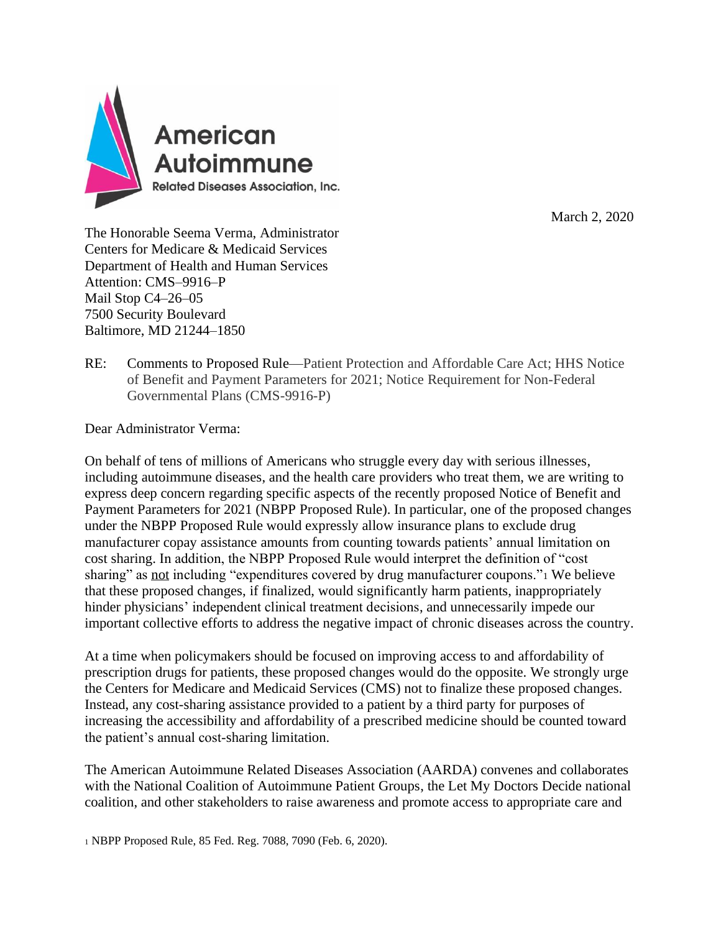

March 2, 2020

The Honorable Seema Verma, Administrator Centers for Medicare & Medicaid Services Department of Health and Human Services Attention: CMS–9916–P Mail Stop C4–26–05 7500 Security Boulevard Baltimore, MD 21244–1850

RE: Comments to Proposed Rule—Patient Protection and Affordable Care Act; HHS Notice of Benefit and Payment Parameters for 2021; Notice Requirement for Non-Federal Governmental Plans (CMS-9916-P)

Dear Administrator Verma:

On behalf of tens of millions of Americans who struggle every day with serious illnesses, including autoimmune diseases, and the health care providers who treat them, we are writing to express deep concern regarding specific aspects of the recently proposed Notice of Benefit and Payment Parameters for 2021 (NBPP Proposed Rule). In particular, one of the proposed changes under the NBPP Proposed Rule would expressly allow insurance plans to exclude drug manufacturer copay assistance amounts from counting towards patients' annual limitation on cost sharing. In addition, the NBPP Proposed Rule would interpret the definition of "cost sharing" as not including "expenditures covered by drug manufacturer coupons." We believe that these proposed changes, if finalized, would significantly harm patients, inappropriately hinder physicians' independent clinical treatment decisions, and unnecessarily impede our important collective efforts to address the negative impact of chronic diseases across the country.

At a time when policymakers should be focused on improving access to and affordability of prescription drugs for patients, these proposed changes would do the opposite. We strongly urge the Centers for Medicare and Medicaid Services (CMS) not to finalize these proposed changes. Instead, any cost-sharing assistance provided to a patient by a third party for purposes of increasing the accessibility and affordability of a prescribed medicine should be counted toward the patient's annual cost-sharing limitation.

The American Autoimmune Related Diseases Association (AARDA) convenes and collaborates with the National Coalition of Autoimmune Patient Groups, the Let My Doctors Decide national coalition, and other stakeholders to raise awareness and promote access to appropriate care and

<sup>1</sup> NBPP Proposed Rule, 85 Fed. Reg. 7088, 7090 (Feb. 6, 2020).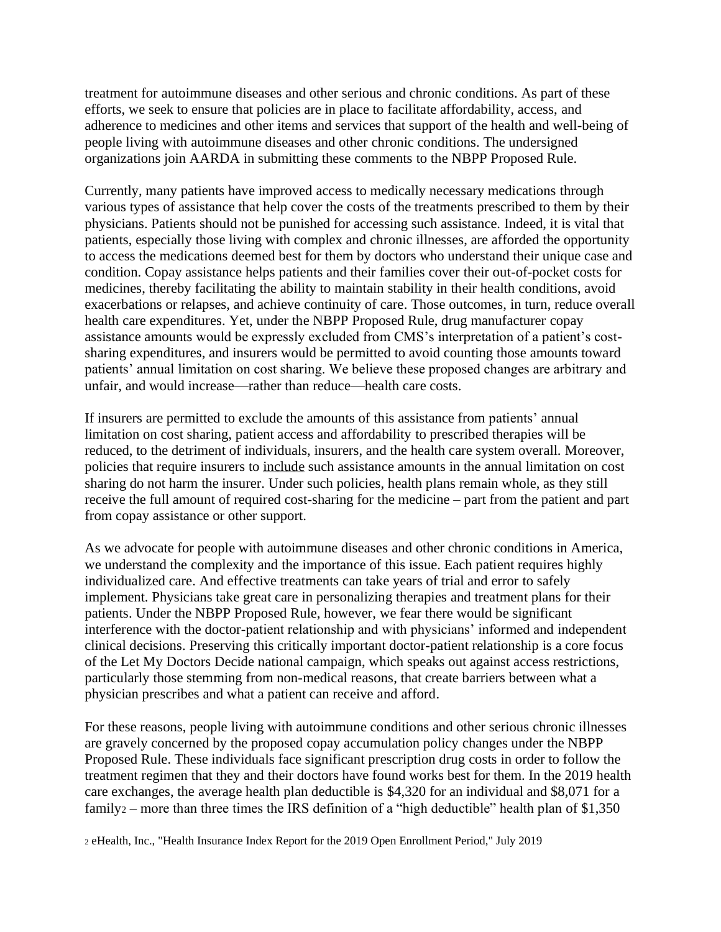treatment for autoimmune diseases and other serious and chronic conditions. As part of these efforts, we seek to ensure that policies are in place to facilitate affordability, access, and adherence to medicines and other items and services that support of the health and well-being of people living with autoimmune diseases and other chronic conditions. The undersigned organizations join AARDA in submitting these comments to the NBPP Proposed Rule.

Currently, many patients have improved access to medically necessary medications through various types of assistance that help cover the costs of the treatments prescribed to them by their physicians. Patients should not be punished for accessing such assistance. Indeed, it is vital that patients, especially those living with complex and chronic illnesses, are afforded the opportunity to access the medications deemed best for them by doctors who understand their unique case and condition. Copay assistance helps patients and their families cover their out-of-pocket costs for medicines, thereby facilitating the ability to maintain stability in their health conditions, avoid exacerbations or relapses, and achieve continuity of care. Those outcomes, in turn, reduce overall health care expenditures. Yet, under the NBPP Proposed Rule, drug manufacturer copay assistance amounts would be expressly excluded from CMS's interpretation of a patient's costsharing expenditures, and insurers would be permitted to avoid counting those amounts toward patients' annual limitation on cost sharing. We believe these proposed changes are arbitrary and unfair, and would increase—rather than reduce—health care costs.

If insurers are permitted to exclude the amounts of this assistance from patients' annual limitation on cost sharing, patient access and affordability to prescribed therapies will be reduced, to the detriment of individuals, insurers, and the health care system overall. Moreover, policies that require insurers to include such assistance amounts in the annual limitation on cost sharing do not harm the insurer. Under such policies, health plans remain whole, as they still receive the full amount of required cost-sharing for the medicine – part from the patient and part from copay assistance or other support.

As we advocate for people with autoimmune diseases and other chronic conditions in America, we understand the complexity and the importance of this issue. Each patient requires highly individualized care. And effective treatments can take years of trial and error to safely implement. Physicians take great care in personalizing therapies and treatment plans for their patients. Under the NBPP Proposed Rule, however, we fear there would be significant interference with the doctor-patient relationship and with physicians' informed and independent clinical decisions. Preserving this critically important doctor-patient relationship is a core focus of the Let My Doctors Decide national campaign, which speaks out against access restrictions, particularly those stemming from non-medical reasons, that create barriers between what a physician prescribes and what a patient can receive and afford.

For these reasons, people living with autoimmune conditions and other serious chronic illnesses are gravely concerned by the proposed copay accumulation policy changes under the NBPP Proposed Rule. These individuals face significant prescription drug costs in order to follow the treatment regimen that they and their doctors have found works best for them. In the 2019 health care exchanges, the average health plan deductible is \$4,320 for an individual and \$8,071 for a family<sub>2</sub> – more than three times the IRS definition of a "high deductible" health plan of \$1,350

<sup>2</sup> eHealth, Inc., "Health Insurance Index Report for the 2019 Open Enrollment Period," July 2019